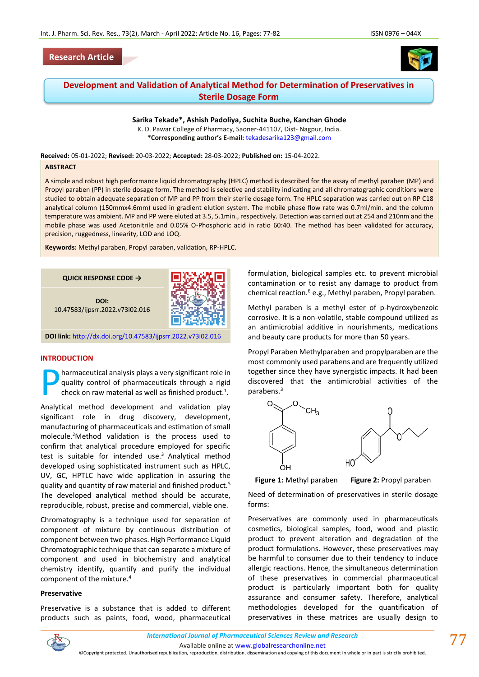



# **Development and Validation of Analytical Method for Determination of Preservatives in Sterile Dosage Form**

**Sarika Tekade\*, Ashish Padoliya, Suchita Buche, Kanchan Ghode** K. D. Pawar College of Pharmacy, Saoner-441107, Dist- Nagpur, India.

**\*Corresponding author's E-mail:** [tekadesarika123@gmail.com](mailto:tekadesarika123@gmail.com)

**Received:** 05-01-2022; **Revised:** 20-03-2022; **Accepted:** 28-03-2022; **Published on:** 15-04-2022.

#### **ABSTRACT**

A simple and robust high performance liquid chromatography (HPLC) method is described for the assay of methyl paraben (MP) and Propyl paraben (PP) in sterile dosage form. The method is selective and stability indicating and all chromatographic conditions were studied to obtain adequate separation of MP and PP from their sterile dosage form. The HPLC separation was carried out on RP C18 analytical column (150mmx4.6mm) used in gradient elution system. The mobile phase flow rate was 0.7ml/min. and the column temperature was ambient. MP and PP were eluted at 3.5, 5.1min., respectively. Detection was carried out at 254 and 210nm and the mobile phase was used Acetonitrile and 0.05% O-Phosphoric acid in ratio 60:40. The method has been validated for accuracy, precision, ruggedness, linearity, LOD and LOQ.

**Keywords:** Methyl paraben, Propyl paraben, validation, RP-HPLC.

**QUICK RESPONSE CODE →**

**DOI:** 10.47583/ijpsrr.2022.v73i02.016



**DOI link:** <http://dx.doi.org/10.47583/ijpsrr.2022.v73i02.016>

### **INTRODUCTION**

harmaceutical analysis plays a very significant role in quality control of pharmaceuticals through a rigid check on raw material as well as finished product.<sup>1</sup>. P

Analytical method development and validation play significant role in drug discovery, development, manufacturing of pharmaceuticals and estimation of small molecule.<sup>2</sup>Method validation is the process used to confirm that analytical procedure employed for specific test is suitable for intended use.<sup>3</sup> Analytical method developed using sophisticated instrument such as HPLC, UV, GC, HPTLC have wide application in assuring the quality and quantity of raw material and finished product.<sup>5</sup> The developed analytical method should be accurate, reproducible, robust, precise and commercial, viable one.

Chromatography is a technique used for separation of component of mixture by continuous distribution of component between two phases.High Performance Liquid Chromatographic technique that can separate a mixture of component and used in biochemistry and analytical chemistry identify, quantify and purify the individual component of the mixture.<sup>4</sup>

#### **Preservative**

Preservative is a substance that is added to different products such as paints, food, wood, pharmaceutical formulation, biological samples etc. to prevent microbial contamination or to resist any damage to product from chemical reaction.<sup>6</sup> e.g., Methyl paraben, Propyl paraben.

Methyl paraben is a methyl ester of p-hydroxybenzoic corrosive. It is a non-volatile, stable compound utilized as an antimicrobial additive in nourishments, medications and beauty care products for more than 50 years.

Propyl Paraben Methylparaben and propylparaben are the most commonly used parabens and are frequently utilized together since they have synergistic impacts. It had been discovered that the antimicrobial activities of the parabens.<sup>3</sup>



**Figure 1:** Methyl paraben **Figure 2:** Propyl paraben

Need of determination of preservatives in sterile dosage forms:

Preservatives are commonly used in pharmaceuticals cosmetics, biological samples, food, wood and plastic product to prevent alteration and degradation of the product formulations. However, these preservatives may be harmful to consumer due to their tendency to induce allergic reactions. Hence, the simultaneous determination of these preservatives in commercial pharmaceutical product is particularly important both for quality assurance and consumer safety. Therefore, analytical methodologies developed for the quantification of preservatives in these matrices are usually design to



Available online a[t www.globalresearchonline.net](http://www.globalresearchonline.net/)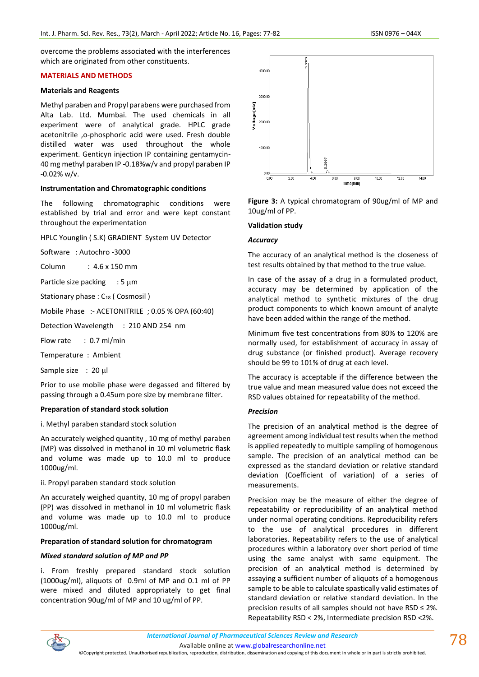overcome the problems associated with the interferences which are originated from other constituents.

## **MATERIALS AND METHODS**

### **Materials and Reagents**

Methyl paraben and Propyl parabens were purchased from Alta Lab. Ltd. Mumbai. The used chemicals in all experiment were of analytical grade. HPLC grade acetonitrile ,o-phosphoric acid were used. Fresh double distilled water was used throughout the whole experiment. Genticyn injection IP containing gentamycin-40 mg methyl paraben IP -0.18%w/v and propyl paraben IP -0.02% w/v.

#### **Instrumentation and Chromatographic conditions**

The following chromatographic conditions were established by trial and error and were kept constant throughout the experimentation

HPLC Younglin ( S.K) GRADIENT System UV Detector

Software : Autochro -3000

Column : 4.6 x 150 mm

Particle size packing  $: 5 \mu m$ 

Stationary phase : C<sub>18</sub> ( Cosmosil )

Mobile Phase :- ACETONITRILE ; 0.05 % OPA (60:40)

Detection Wavelength : 210 AND 254 nm

Flow rate : 0.7 ml/min

Temperature : Ambient

Sample size : 20 µl

Prior to use mobile phase were degassed and filtered by passing through a 0.45um pore size by membrane filter.

#### **Preparation of standard stock solution**

i. Methyl paraben standard stock solution

An accurately weighed quantity , 10 mg of methyl paraben (MP) was dissolved in methanol in 10 ml volumetric flask and volume was made up to 10.0 ml to produce 1000ug/ml.

#### ii. Propyl paraben standard stock solution

An accurately weighed quantity, 10 mg of propyl paraben (PP) was dissolved in methanol in 10 ml volumetric flask and volume was made up to 10.0 ml to produce 1000ug/ml.

## **Preparation of standard solution for chromatogram**

#### *Mixed standard solution of MP and PP*

i. From freshly prepared standard stock solution (1000ug/ml), aliquots of 0.9ml of MP and 0.1 ml of PP were mixed and diluted appropriately to get final concentration 90ug/ml of MP and 10 ug/ml of PP.



**Figure 3:** A typical chromatogram of 90ug/ml of MP and 10ug/ml of PP.

#### **Validation study**

#### *Accuracy*

The accuracy of an analytical method is the closeness of test results obtained by that method to the true value.

In case of the assay of a drug in a formulated product, accuracy may be determined by application of the analytical method to synthetic mixtures of the drug product components to which known amount of analyte have been added within the range of the method.

Minimum five test concentrations from 80% to 120% are normally used, for establishment of accuracy in assay of drug substance (or finished product). Average recovery should be 99 to 101% of drug at each level.

The accuracy is acceptable if the difference between the true value and mean measured value does not exceed the RSD values obtained for repeatability of the method.

## *Precision*

The precision of an analytical method is the degree of agreement among individual test results when the method is applied repeatedly to multiple sampling of homogenous sample. The precision of an analytical method can be expressed as the standard deviation or relative standard deviation (Coefficient of variation) of a series of measurements.

Precision may be the measure of either the degree of repeatability or reproducibility of an analytical method under normal operating conditions. Reproducibility refers to the use of analytical procedures in different laboratories. Repeatability refers to the use of analytical procedures within a laboratory over short period of time using the same analyst with same equipment. The precision of an analytical method is determined by assaying a sufficient number of aliquots of a homogenous sample to be able to calculate spastically valid estimates of standard deviation or relative standard deviation. In the precision results of all samples should not have RSD ≤ 2%. Repeatability RSD < 2%, Intermediate precision RSD <2%.



Available online a[t www.globalresearchonline.net](http://www.globalresearchonline.net/)

©Copyright protected. Unauthorised republication, reproduction, distribution, dissemination and copying of this document in whole or in part is strictly prohibited.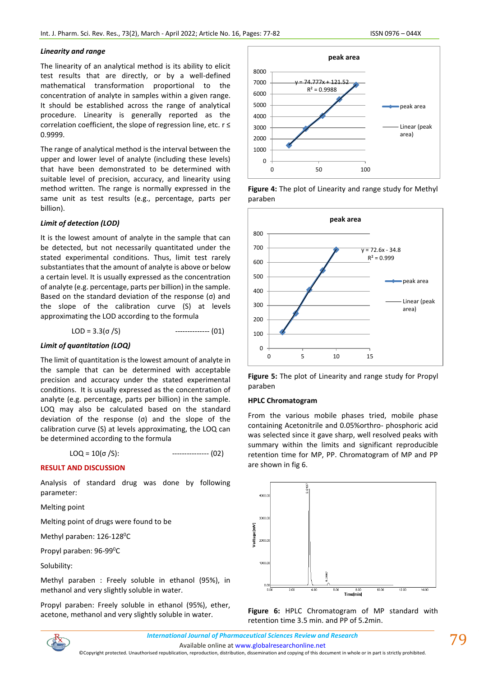### *Linearity and range*

The linearity of an analytical method is its ability to elicit test results that are directly, or by a well-defined mathematical transformation proportional to the concentration of analyte in samples within a given range. It should be established across the range of analytical procedure. Linearity is generally reported as the correlation coefficient, the slope of regression line, etc. r ≤ 0.9999.

The range of analytical method is the interval between the upper and lower level of analyte (including these levels) that have been demonstrated to be determined with suitable level of precision, accuracy, and linearity using method written. The range is normally expressed in the same unit as test results (e.g., percentage, parts per billion).

## *Limit of detection (LOD)*

It is the lowest amount of analyte in the sample that can be detected, but not necessarily quantitated under the stated experimental conditions. Thus, limit test rarely substantiates that the amount of analyte is above or below a certain level. It is usually expressed as the concentration of analyte (e.g. percentage, parts per billion) in the sample. Based on the standard deviation of the response (σ) and the slope of the calibration curve (S) at levels approximating the LOD according to the formula

$$
LOD = 3.3(\sigma / S)
$$
   
 3.3(\sigma / S)

#### *Limit of quantitation (LOQ)*

The limit of quantitation is the lowest amount of analyte in the sample that can be determined with acceptable precision and accuracy under the stated experimental conditions. It is usually expressed as the concentration of analyte (e.g. percentage, parts per billion) in the sample. LOQ may also be calculated based on the standard deviation of the response (σ) and the slope of the calibration curve (S) at levels approximating, the LOQ can be determined according to the formula

 $\text{LOQ} = 10(\sigma/S):$  --------------- (02)

#### **RESULT AND DISCUSSION**

Analysis of standard drug was done by following parameter:

Melting point

Melting point of drugs were found to be

Methyl paraben: 126-128<sup>0</sup>C

Propyl paraben: 96-99<sup>0</sup>C

Solubility:

Methyl paraben : Freely soluble in ethanol (95%), in methanol and very slightly soluble in water.

Propyl paraben: Freely soluble in ethanol (95%), ether, acetone, methanol and very slightly soluble in water.



**Figure 4:** The plot of Linearity and range study for Methyl paraben



**Figure 5:** The plot of Linearity and range study for Propyl paraben

#### **HPLC Chromatogram**

From the various mobile phases tried, mobile phase containing Acetonitrile and 0.05%orthro- phosphoric acid was selected since it gave sharp, well resolved peaks with summary within the limits and significant reproducible retention time for MP, PP. Chromatogram of MP and PP are shown in fig 6.





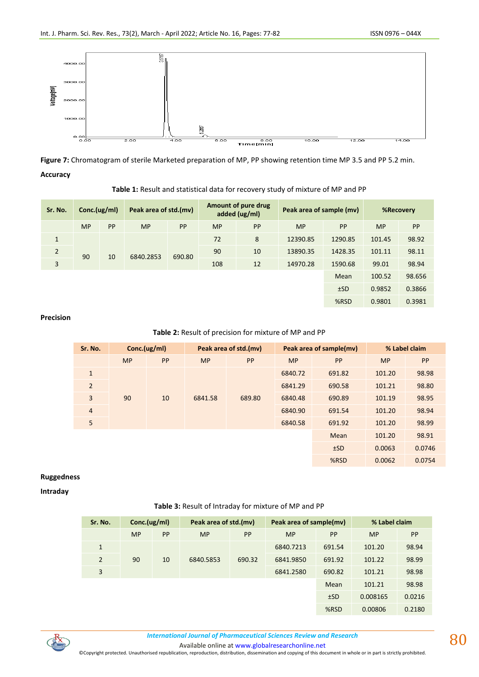

**Figure 7:** Chromatogram of sterile Marketed preparation of MP, PP showing retention time MP 3.5 and PP 5.2 min. **Accuracy**

### **Table 1:** Result and statistical data for recovery study of mixture of MP and PP

| Sr. No.        | Conc.(ug/ml) |    | Peak area of std.(mv) |           | Amount of pure drug<br>added (ug/ml) |    | Peak area of sample (mv) |         | <b>%Recovery</b> |        |
|----------------|--------------|----|-----------------------|-----------|--------------------------------------|----|--------------------------|---------|------------------|--------|
|                | <b>MP</b>    | PP | <b>MP</b>             | <b>PP</b> | <b>MP</b>                            | PP | <b>MP</b>                | PP      | <b>MP</b>        | PP     |
| $\mathbf{1}$   |              |    | 6840.2853             | 690.80    | 72                                   | 8  | 12390.85                 | 1290.85 | 101.45           | 98.92  |
| $\overline{2}$ | 90<br>3      | 10 |                       |           | 90                                   | 10 | 13890.35                 | 1428.35 | 101.11           | 98.11  |
|                |              |    |                       |           | 108                                  | 12 | 14970.28                 | 1590.68 | 99.01            | 98.94  |
|                |              |    |                       |           |                                      |    |                          | Mean    | 100.52           | 98.656 |
|                |              |    |                       |           |                                      |    |                          | ±SD     | 0.9852           | 0.3866 |
|                |              |    |                       |           |                                      |    |                          | %RSD    | 0.9801           | 0.3981 |

#### **Precision**

## **Table 2:** Result of precision for mixture of MP and PP

| Sr. No.        |           | Conc.(ug/ml) |           | Peak area of std.(mv) |           | Peak area of sample(mv) | % Label claim |        |
|----------------|-----------|--------------|-----------|-----------------------|-----------|-------------------------|---------------|--------|
|                | <b>MP</b> | PP           | <b>MP</b> | <b>PP</b>             | <b>MP</b> | <b>PP</b>               | <b>MP</b>     | PP     |
| $\mathbf{1}$   |           |              |           |                       | 6840.72   | 691.82                  | 101.20        | 98.98  |
| $\overline{2}$ |           |              |           |                       | 6841.29   | 690.58                  | 101.21        | 98.80  |
| 3              | 90        | 10           | 6841.58   | 689.80                | 6840.48   | 690.89                  | 101.19        | 98.95  |
| $\overline{4}$ |           |              |           |                       | 6840.90   | 691.54                  | 101.20        | 98.94  |
| 5              |           |              |           |                       | 6840.58   | 691.92                  | 101.20        | 98.99  |
|                |           |              |           |                       |           | Mean                    | 101.20        | 98.91  |
|                |           |              |           |                       |           | ±SD                     | 0.0063        | 0.0746 |
|                |           |              |           |                       |           | %RSD                    | 0.0062        | 0.0754 |

## **Ruggedness**

## **Intraday**

## **Table 3:** Result of Intraday for mixture of MP and PP

| Sr. No.        | Conc.(ug/ml) |    | Peak area of std.(mv) |           | Peak area of sample(mv) |           | % Label claim |           |
|----------------|--------------|----|-----------------------|-----------|-------------------------|-----------|---------------|-----------|
|                | <b>MP</b>    | PP | <b>MP</b>             | <b>PP</b> | <b>MP</b>               | <b>PP</b> | <b>MP</b>     | <b>PP</b> |
| 1              |              |    |                       |           | 6840.7213               | 691.54    | 101.20        | 98.94     |
| $\overline{2}$ | 90           | 10 | 6840.5853             | 690.32    | 6841.9850               | 691.92    | 101.22        | 98.99     |
| 3              |              |    |                       |           | 6841.2580               | 690.82    | 101.21        | 98.98     |
|                |              |    |                       |           |                         | Mean      | 101.21        | 98.98     |
|                |              |    |                       |           |                         | ±SD       | 0.008165      | 0.0216    |
|                |              |    |                       |           |                         | %RSD      | 0.00806       | 0.2180    |



Available online a[t www.globalresearchonline.net](http://www.globalresearchonline.net/)

©Copyright protected. Unauthorised republication, reproduction, distribution, dissemination and copying of this document in whole or in part is strictly prohibited.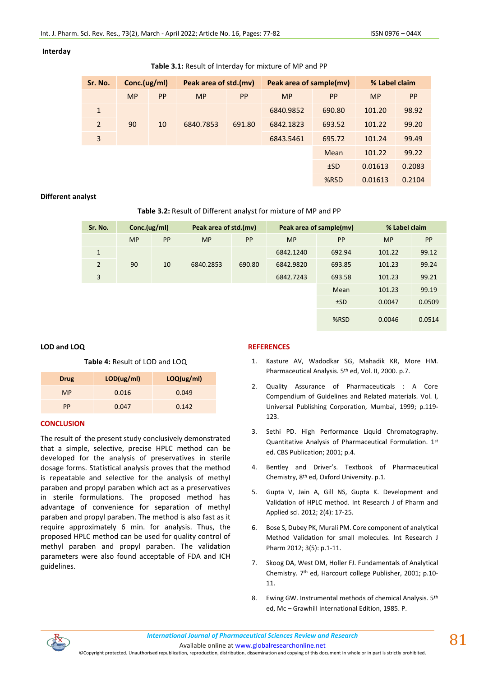## **Interday**

| Table 3.1: Result of Interday for mixture of MP and PP |  |
|--------------------------------------------------------|--|
|--------------------------------------------------------|--|

| Sr. No.        | Conc.(ug/ml) |           | Peak area of std.(mv) |        | Peak area of sample(mv) |           | % Label claim |        |
|----------------|--------------|-----------|-----------------------|--------|-------------------------|-----------|---------------|--------|
|                | <b>MP</b>    | <b>PP</b> | <b>MP</b>             | PP     | <b>MP</b>               | <b>PP</b> | <b>MP</b>     | PP     |
| $\mathbf{1}$   |              |           |                       |        | 6840.9852               | 690.80    | 101.20        | 98.92  |
| $\overline{2}$ | 90           | 10        | 6840.7853             | 691.80 | 6842.1823               | 693.52    | 101.22        | 99.20  |
| 3              |              |           |                       |        | 6843.5461               | 695.72    | 101.24        | 99.49  |
|                |              |           |                       |        |                         | Mean      | 101.22        | 99.22  |
|                |              |           |                       |        |                         | ±SD       | 0.01613       | 0.2083 |
|                |              |           |                       |        |                         | %RSD      | 0.01613       | 0.2104 |

## **Different analyst**

## **Table 3.2:** Result of Different analyst for mixture of MP and PP

| Sr. No.        | Conc.(ug/ml) |    | Peak area of std.(mv) |        | Peak area of sample(mv) | % Label claim |           |        |
|----------------|--------------|----|-----------------------|--------|-------------------------|---------------|-----------|--------|
|                | <b>MP</b>    | PP | <b>MP</b>             | PP     | <b>MP</b>               | <b>PP</b>     | <b>MP</b> | PP     |
| $\mathbf{1}$   |              |    |                       |        | 6842.1240               | 692.94        | 101.22    | 99.12  |
| $\overline{2}$ | 90           | 10 | 6840.2853             | 690.80 | 6842.9820               | 693.85        | 101.23    | 99.24  |
| 3              |              |    |                       |        | 6842.7243               | 693.58        | 101.23    | 99.21  |
|                |              |    |                       |        |                         | Mean          | 101.23    | 99.19  |
|                |              |    |                       |        |                         | ±SD           | 0.0047    | 0.0509 |
|                |              |    |                       |        |                         | %RSD          | 0.0046    | 0.0514 |

## **LOD and LOQ**

**Table 4:** Result of LOD and LOQ

| <b>Drug</b> | LOD(ug/ml) | LOQ(ug/ml) |
|-------------|------------|------------|
| <b>MP</b>   | 0.016      | 0.049      |
| PP          | 0.047      | 0.142      |

## **CONCLUSION**

The result of the present study conclusively demonstrated that a simple, selective, precise HPLC method can be developed for the analysis of preservatives in sterile dosage forms. Statistical analysis proves that the method is repeatable and selective for the analysis of methyl paraben and propyl paraben which act as a preservatives in sterile formulations. The proposed method has advantage of convenience for separation of methyl paraben and propyl paraben. The method is also fast as it require approximately 6 min. for analysis. Thus, the proposed HPLC method can be used for quality control of methyl paraben and propyl paraben. The validation parameters were also found acceptable of FDA and ICH guidelines.

## **REFERENCES**

- 1. Kasture AV, Wadodkar SG, Mahadik KR, More HM. Pharmaceutical Analysis. 5th ed, Vol. II, 2000. p.7.
- 2. Quality Assurance of Pharmaceuticals : A Core Compendium of Guidelines and Related materials. Vol. I, Universal Publishing Corporation, Mumbai, 1999; p.119- 123.
- 3. Sethi PD. High Performance Liquid Chromatography. Quantitative Analysis of Pharmaceutical Formulation. 1st ed. CBS Publication; 2001; p.4.
- 4. Bentley and Driver's. Textbook of Pharmaceutical Chemistry, 8th ed, Oxford University. p.1.
- 5. Gupta V, Jain A, Gill NS, Gupta K. Development and Validation of HPLC method. Int Research J of Pharm and Applied sci. 2012; 2(4): 17-25.
- 6. Bose S, Dubey PK, Murali PM. Core component of analytical Method Validation for small molecules. Int Research J Pharm 2012; 3(5): p.1-11.
- 7. Skoog DA, West DM, Holler FJ. Fundamentals of Analytical Chemistry. 7th ed, Harcourt college Publisher, 2001; p.10- 11.
- 8. Ewing GW. Instrumental methods of chemical Analysis. 5<sup>th</sup> ed, Mc – Grawhill International Edition, 1985. P.

Available online a[t www.globalresearchonline.net](http://www.globalresearchonline.net/)